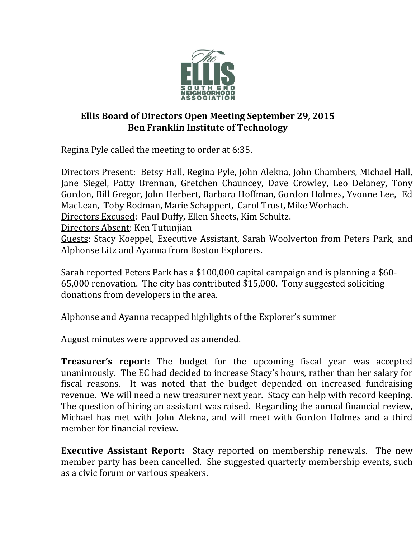

## **Ellis Board of Directors Open Meeting September 29, 2015 Ben Franklin Institute of Technology**

Regina Pyle called the meeting to order at 6:35.

Directors Present: Betsy Hall, Regina Pyle, John Alekna, John Chambers, Michael Hall, Jane Siegel, Patty Brennan, Gretchen Chauncey, Dave Crowley, Leo Delaney, Tony Gordon, Bill Gregor, John Herbert, Barbara Hoffman, Gordon Holmes, Yvonne Lee, Ed MacLean, Toby Rodman, Marie Schappert, Carol Trust, Mike Worhach.

Directors Excused: Paul Duffy, Ellen Sheets, Kim Schultz.

Directors Absent: Ken Tutunjian

Guests: Stacy Koeppel, Executive Assistant, Sarah Woolverton from Peters Park, and Alphonse Litz and Ayanna from Boston Explorers.

Sarah reported Peters Park has a \$100,000 capital campaign and is planning a \$60- 65,000 renovation. The city has contributed \$15,000. Tony suggested soliciting donations from developers in the area.

Alphonse and Ayanna recapped highlights of the Explorer's summer

August minutes were approved as amended.

**Treasurer's report:** The budget for the upcoming fiscal year was accepted unanimously. The EC had decided to increase Stacy's hours, rather than her salary for fiscal reasons. It was noted that the budget depended on increased fundraising revenue. We will need a new treasurer next year. Stacy can help with record keeping. The question of hiring an assistant was raised. Regarding the annual financial review, Michael has met with John Alekna, and will meet with Gordon Holmes and a third member for financial review.

**Executive Assistant Report:** Stacy reported on membership renewals. The new member party has been cancelled. She suggested quarterly membership events, such as a civic forum or various speakers.